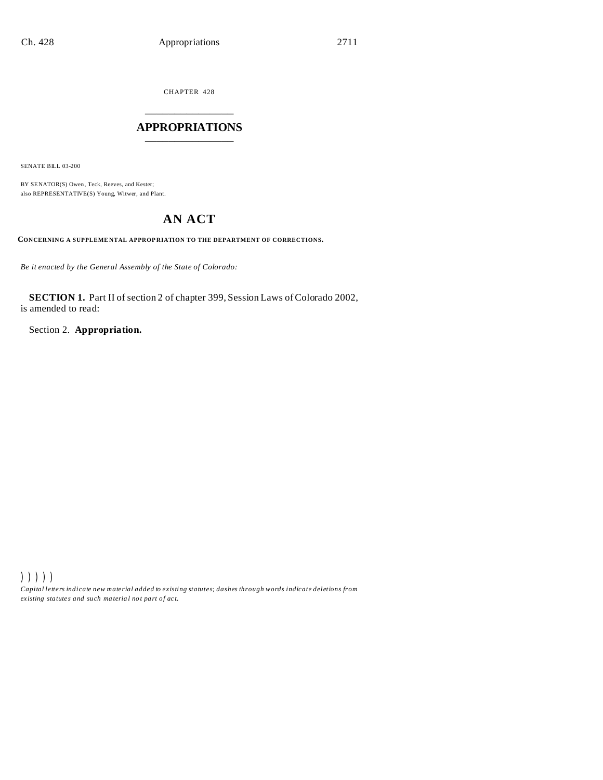CHAPTER 428 \_\_\_\_\_\_\_\_\_\_\_\_\_\_\_

## **APPROPRIATIONS** \_\_\_\_\_\_\_\_\_\_\_\_\_\_\_

SENATE BILL 03-200

BY SENATOR(S) Owen, Teck, Reeves, and Kester; also REPRESENTATIVE(S) Young, Witwer, and Plant.

# **AN ACT**

**CONCERNING A SUPPLEME NTAL APPROP RIATION TO THE DEPARTMENT OF CORRECTIONS.**

*Be it enacted by the General Assembly of the State of Colorado:*

**SECTION 1.** Part II of section 2 of chapter 399, Session Laws of Colorado 2002, is amended to read:

Section 2. **Appropriation.**

))))) *Capital letters indicate new material added to existing statutes; dashes through words indicate deletions from ex isting statute s and such ma teria l no t pa rt of ac t.*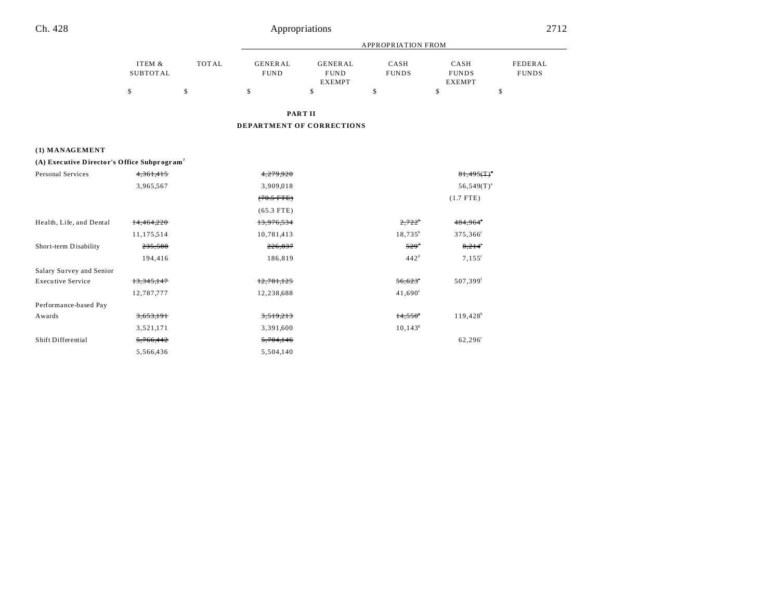## Ch. 428

# Appropriations

|          |       |                | APPROPRIATION FROM |              |               |              |  |
|----------|-------|----------------|--------------------|--------------|---------------|--------------|--|
| ITEM &   | TOTAL | <b>GENERAL</b> | GENERAL            | CASH         | CASH          | FEDERAL      |  |
| SUBTOTAL |       | <b>FUND</b>    | <b>FUND</b>        | <b>FUNDS</b> | <b>FUNDS</b>  | <b>FUNDS</b> |  |
|          |       |                | <b>EXEMPT</b>      |              | <b>EXEMPT</b> |              |  |
|          |       |                |                    |              |               |              |  |

PART II

DEPARTMENT OF CORRECTIONS

#### (1) MANAGEMENT

|  |  | (A) Executive Director's Office Subprogram <sup>7</sup> |
|--|--|---------------------------------------------------------|
|  |  |                                                         |

| Personal Services        | 4,361,415    | 4,279,920    |                       | $81,495(T)^{3}$        |
|--------------------------|--------------|--------------|-----------------------|------------------------|
|                          | 3,965,567    | 3,909,018    |                       | $56,549(T)^{a}$        |
|                          |              | $(70.5$ FTE) |                       | $(1.7$ FTE)            |
|                          |              | $(65.3$ FTE) |                       |                        |
| Health, Life, and Dental | 14,464,220   | 13,976,534   | $2,722^{\circ}$       | 484,964°               |
|                          | 11,175,514   | 10,781,413   | $18,735^b$            | 375,366 <sup>c</sup>   |
| Short-term Disability    | 235,580      | 226,837      | $529^{d}$             | $8,214^{\circ}$        |
|                          | 194,416      | 186,819      | 442 <sup>d</sup>      | $7,155^{\circ}$        |
| Salary Survey and Senior |              |              |                       |                        |
| <b>Executive Service</b> | 13, 345, 147 | 12,781,125   | 56,623                | 507,399 <sup>f</sup>   |
|                          | 12,787,777   | 12,238,688   | $41,690^\circ$        |                        |
| Performance-based Pay    |              |              |                       |                        |
| Awards                   | 3,653,191    | 3,519,213    | $14,550$ <sup>s</sup> | $119,428$ <sup>h</sup> |
|                          | 3,521,171    | 3,391,600    | $10,143^s$            |                        |
| Shift Differential       | 5,766,442    | 5,704,146    |                       | 62,296°                |
|                          | 5,566,436    | 5,504,140    |                       |                        |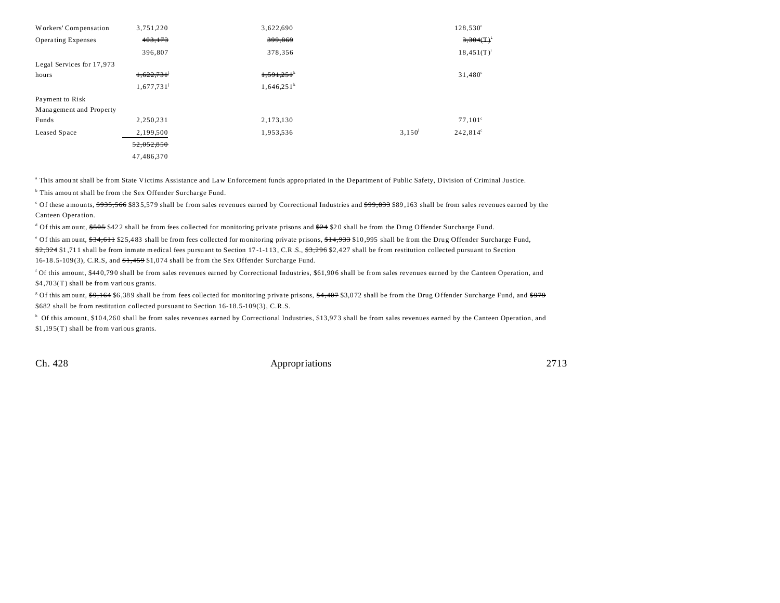| Workers' Compensation     | 3,751,220                | 3,622,690     |           | $128,530^{\circ}$ |
|---------------------------|--------------------------|---------------|-----------|-------------------|
| <b>Operating Expenses</b> | 403,173                  | 399,869       |           | 3,304(T)          |
|                           | 396,807                  | 378,356       |           | $18,451(T)^{i}$   |
| Legal Services for 17,973 |                          |               |           |                   |
| hours                     | 1,622,731                | 1,591,251     |           | $31,480^{\circ}$  |
|                           | $1,677,731$ <sup>j</sup> | $1,646,251^k$ |           |                   |
| Payment to Risk           |                          |               |           |                   |
| Management and Property   |                          |               |           |                   |
| Funds                     | 2,250,231                | 2,173,130     |           | $77,101^{\circ}$  |
| Leased Space              | 2,199,500                | 1,953,536     | $3,150^1$ | $242,814^{\circ}$ |
|                           | 52,052,850               |               |           |                   |
|                           | 47,486,370               |               |           |                   |

This amount shall be from State Victims Assistance and Law Enforcement funds appropriated in the Department of Public Safety, Division of Criminal Justice.

<sup>b</sup> This amount shall be from the Sex Offender Surcharge Fund.

Of these amounts, <del>\$935,566</del> \$835,579 shall be from sales revenues earned by Correctional Industries and <del>\$99,833</del> \$89,163 shall be from sales revenues earned by the Canteen Opera tion.

<sup>d</sup> Of this amount, \$505 \$422 shall be from fees collected for monitoring private prisons and \$24 \$20 shall be from the Drug Offender Surcharge Fund.

<sup>e</sup> Of this amount, <del>\$34,611</del> \$25,483 shall be from fees collected for monitoring private prisons, <del>\$14,933</del> \$10,995 shall be from the Drug Offender Surcharge Fund, \$2,324 \$1,711 shall be from inmate medical fees pursuant to Section 17-1-113, C.R.S., \$3,296 \$2,427 shall be from restitution collected pursuant to Section 16-18.5-109(3), C.R.S, and  $\frac{4}{5}$ , 459 \$1,074 shall be from the Sex Offender Surcharge Fund.

<sup>f</sup> Of this amount, \$440,790 shall be from sales revenues earned by Correctional Industries, \$61,906 shall be from sales revenues earned by the Canteen Operation, and \$4,703(T) shall be from various grants.

<sup>g</sup> Of this amount, <del>\$9,164</del> \$6,389 shall be from fees collected for monitoring private prisons, <del>\$4,407</del> \$3,072 shall be from the Drug Offender Surcharge Fund, and <del>\$979</del> \$682 shall be from restitution collected pursuant to Section 16-18.5-109(3), C.R.S.

<sup>h</sup> Of this amount, \$104,260 shall be from sales revenues earned by Correctional Industries, \$13,973 shall be from sales revenues earned by the Canteen Operation, and \$1,195(T) shall be from various grants.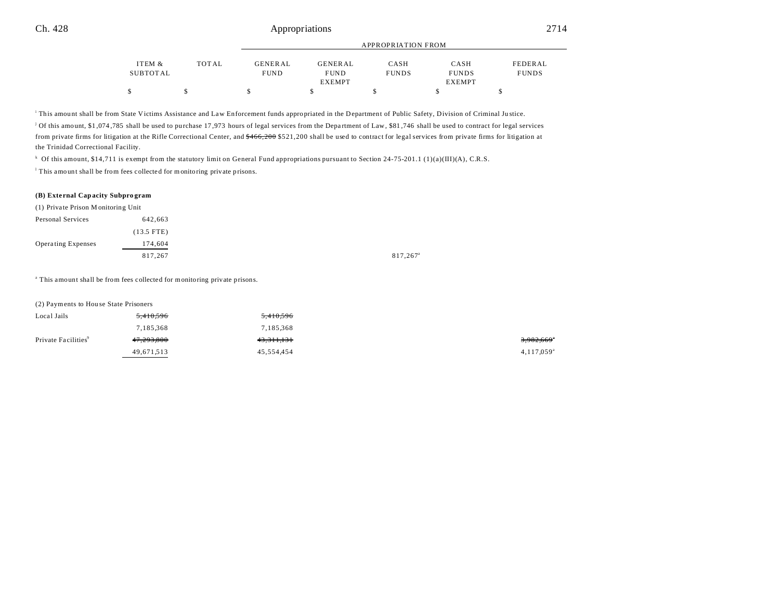|          |              |                |                | APPROPRIATION FROM |               |              |
|----------|--------------|----------------|----------------|--------------------|---------------|--------------|
| ITEM &   | <b>TOTAL</b> | <b>GENERAL</b> | <b>GENERAL</b> | CASH               | CASH          | FEDERAL      |
| SUBTOTAL |              | <b>FUND</b>    | <b>FUND</b>    | <b>FUNDS</b>       | <b>FUNDS</b>  | <b>FUNDS</b> |
|          |              |                | EXEMPT         |                    | <b>EXEMPT</b> |              |
|          |              |                |                |                    |               |              |

This amount shall be from State Victims Assistance and Law Enforcement funds appropriated in the Department of Public Safety, Division of Criminal Justice.

j Of this amount, \$1 ,074 ,785 shall be used to purchase 17 ,973 hours of legal services from the Depa rtment of Law, \$81 ,746 shall be used to contract for legal services from private firms for litigation at the Rifle Correctional Center, and \$466,200 \$521,200 shall be used to contract for legal services from private firms for litigation at the Trinidad Correctional Facility.

k Of this amount, \$14,711 is exempt from the statutory limit on General Fund appropriations pursuant to Section 24-75-201.1 (1)(a)(III)(A), C.R.S.

<sup>1</sup> This amount shall be from fees collected for monitoring private prisons.

### **(B) Exte rnal Capacity Subpro gram**

| (1) Private Prison Monitoring Unit |
|------------------------------------|
| 642,663                            |
| $(13.5$ FTE)                       |
| 174,604                            |
| 817,267                            |
|                                    |

<sup>a</sup> This amount shall be from fees collected for monitoring private prisons.

(2) Payments to Hou se State Prisoners

| Local Jails                     | 5,410,596  | 5,410,596              |            |
|---------------------------------|------------|------------------------|------------|
|                                 | 7,185,368  | 7,185,368              |            |
| Private Facilities <sup>9</sup> | 47,293,800 | 4 <del>3.311.131</del> | 3,982,669° |
|                                 | 49,671,513 | 45,554,454             | 4,117,059  |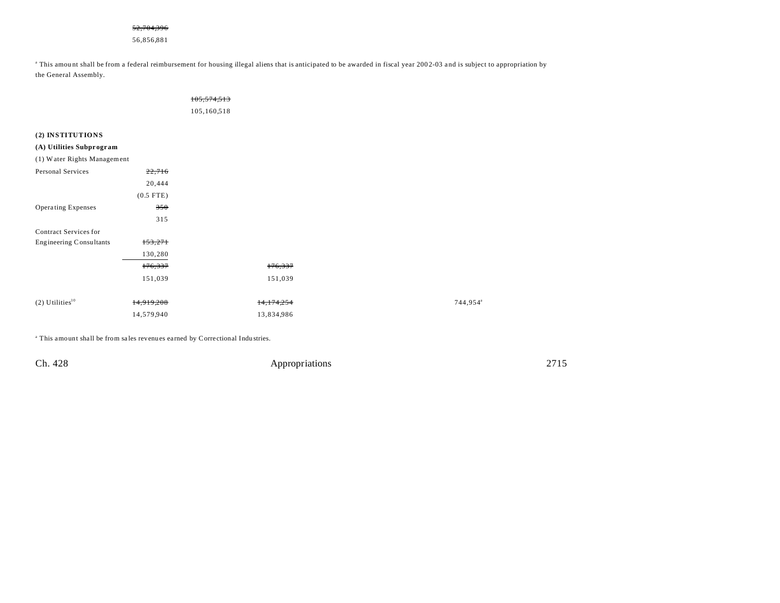#### 52,704,396

56,856,881

<sup>a</sup> This amount shall be from a federal reimbursement for housing illegal aliens that is anticipated to be awarded in fiscal year 2002-03 and is subject to appropriation by the General Assembly.

|                               |             | 105,574,513 |            |  |                      |
|-------------------------------|-------------|-------------|------------|--|----------------------|
|                               |             | 105,160,518 |            |  |                      |
|                               |             |             |            |  |                      |
| (2) INSTITUTIONS              |             |             |            |  |                      |
| (A) Utilities Subprogram      |             |             |            |  |                      |
| (1) Water Rights Management   |             |             |            |  |                      |
| Personal Services             | 22,716      |             |            |  |                      |
|                               | 20,444      |             |            |  |                      |
|                               | $(0.5$ FTE) |             |            |  |                      |
| Operating Expenses            | 350         |             |            |  |                      |
|                               | 315         |             |            |  |                      |
| Contract Services for         |             |             |            |  |                      |
| Engineering Consultants       | 153,271     |             |            |  |                      |
|                               | 130,280     |             |            |  |                      |
|                               | 176,337     |             | 176,337    |  |                      |
|                               | 151,039     |             | 151,039    |  |                      |
|                               |             |             |            |  |                      |
| $(2)$ Utilities <sup>10</sup> | 14,919,208  |             | 14,174,254 |  | 744,954 <sup>ª</sup> |
|                               | 14,579,940  |             | 13,834,986 |  |                      |
|                               |             |             |            |  |                      |

<sup>a</sup> This amount shall be from sales revenues earned by Correctional Industries.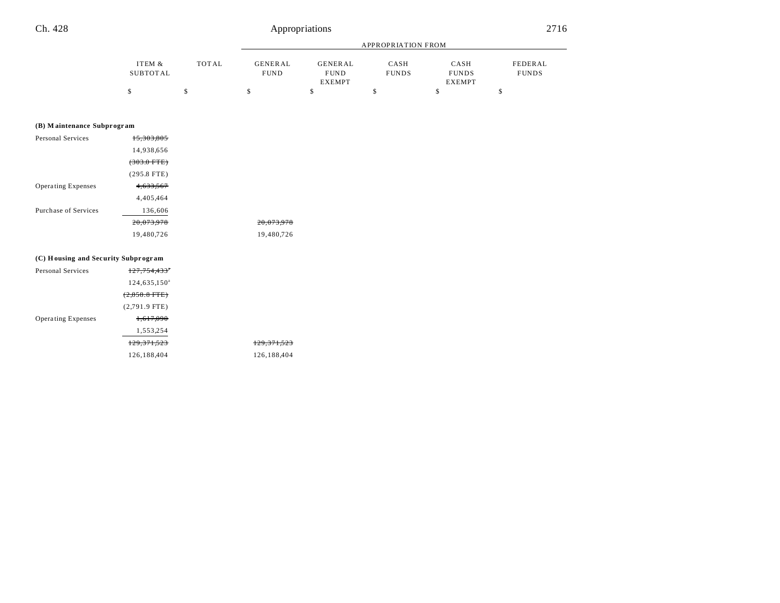# Ch. 428

# Appropriations

|                            |                    |              |                               |                                                | <b>APPROPRIATION FROM</b> |                                       |                         |
|----------------------------|--------------------|--------------|-------------------------------|------------------------------------------------|---------------------------|---------------------------------------|-------------------------|
|                            | ITEM &<br>SUBTOTAL | <b>TOTAL</b> | <b>GENERAL</b><br><b>FUND</b> | <b>GENERAL</b><br><b>FUND</b><br><b>EXEMPT</b> | CASH<br><b>FUNDS</b>      | CASH<br><b>FUNDS</b><br><b>EXEMPT</b> | FEDERAL<br><b>FUNDS</b> |
|                            | \$                 | \$           | \$                            | \$                                             | \$                        | \$                                    | \$                      |
|                            |                    |              |                               |                                                |                           |                                       |                         |
| (B) Maintenance Subprogram |                    |              |                               |                                                |                           |                                       |                         |
| Personal Services          | 15,303,805         |              |                               |                                                |                           |                                       |                         |
|                            | 14,938,656         |              |                               |                                                |                           |                                       |                         |
|                            | $(303.0$ FTE)      |              |                               |                                                |                           |                                       |                         |
|                            | $(295.8$ FTE)      |              |                               |                                                |                           |                                       |                         |
| Operating Expenses         | 4,633,567          |              |                               |                                                |                           |                                       |                         |
|                            | 4,405,464          |              |                               |                                                |                           |                                       |                         |
| Purchase of Services       | 136,606            |              |                               |                                                |                           |                                       |                         |
|                            | 20,073,978         |              | 20,073,978                    |                                                |                           |                                       |                         |
|                            | 19,480,726         |              | 19,480,726                    |                                                |                           |                                       |                         |
|                            |                    |              |                               |                                                |                           |                                       |                         |

#### (C) Housing and Security Subprogram

| Personal Services         | 127,754,433°             |             |
|---------------------------|--------------------------|-------------|
|                           | 124,635,150 <sup>a</sup> |             |
|                           | $(2,858.8$ FTE $)$       |             |
|                           | $(2,791.9$ FTE)          |             |
| <b>Operating Expenses</b> | 1,617,090                |             |
|                           | 1,553,254                |             |
|                           | 129.371.523              | 129.371.523 |
|                           | 126,188,404              | 126,188,404 |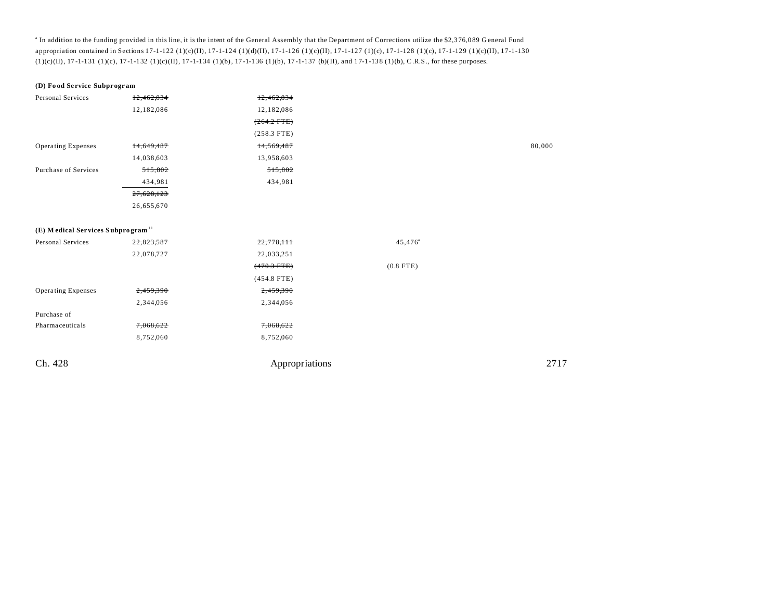<sup>a</sup> In addition to the funding provided in this line, it is the intent of the General Assembly that the Department of Corrections utilize the \$2,376,089 General Fund appropriation contained in Sections 17-1-122 (1)(c)(II), 17-1-124 (1)(d)(II), 17-1-126 (1)(c)(II), 17-1-127 (1)(c), 17-1-122 (1)(c), 17-1-129 (1)(c), 17-1-130  $(1)(c)(II), 17-1-131$   $(1)(c), 17-1-132$   $(1)(c)(II), 17-1-134$   $(1)(b), 17-1-136$   $(1)(b), 17-1-137$   $(b)(II), and 17-1-138$   $(1)(b), C.R.S.,$  for these purposes.

| (D) Food Service Subprogram                   |            |                |                  |        |
|-----------------------------------------------|------------|----------------|------------------|--------|
| Personal Services                             | 12,462,834 | 12,462,834     |                  |        |
|                                               | 12,182,086 | 12,182,086     |                  |        |
|                                               |            | $(264.2$ FTE)  |                  |        |
|                                               |            | $(258.3$ FTE)  |                  |        |
| <b>Operating Expenses</b>                     | 14,649,487 | 14,569,487     |                  | 80,000 |
|                                               | 14,038,603 | 13,958,603     |                  |        |
| Purchase of Services                          | 515,802    | 515,802        |                  |        |
|                                               | 434,981    | 434,981        |                  |        |
|                                               | 27,628,123 |                |                  |        |
|                                               | 26,655,670 |                |                  |        |
|                                               |            |                |                  |        |
| (E) Medical Services Subprogram <sup>11</sup> |            |                |                  |        |
| Personal Services                             | 22,823,587 | 22,778,111     | $45,476^{\circ}$ |        |
|                                               | 22,078,727 | 22,033,251     |                  |        |
|                                               |            | $(470.3$ FTE)  | $(0.8$ FTE)      |        |
|                                               |            | $(454.8$ FTE)  |                  |        |
| Operating Expenses                            | 2,459,390  | 2,459,390      |                  |        |
|                                               | 2,344,056  | 2,344,056      |                  |        |
| Purchase of                                   |            |                |                  |        |
| Pharmaceuticals                               | 7,068,622  | 7,068,622      |                  |        |
|                                               | 8,752,060  | 8,752,060      |                  |        |
|                                               |            |                |                  |        |
| Ch. 428                                       |            | Appropriations |                  | 2717   |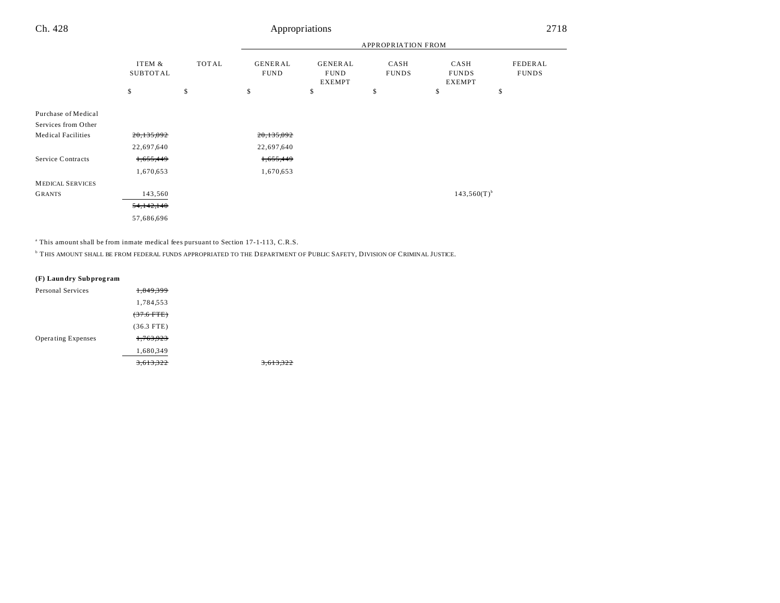|                                            |                    |       | <b>APPROPRIATION FROM</b>     |                                         |                      |                                       |                         |
|--------------------------------------------|--------------------|-------|-------------------------------|-----------------------------------------|----------------------|---------------------------------------|-------------------------|
|                                            | ITEM &<br>SUBTOTAL | TOTAL | <b>GENERAL</b><br><b>FUND</b> | GENERAL<br><b>FUND</b><br><b>EXEMPT</b> | CASH<br><b>FUNDS</b> | CASH<br><b>FUNDS</b><br><b>EXEMPT</b> | FEDERAL<br><b>FUNDS</b> |
|                                            | \$                 | \$    | \$                            | \$                                      | \$                   | \$                                    | \$                      |
| Purchase of Medical<br>Services from Other |                    |       |                               |                                         |                      |                                       |                         |
| <b>Medical Facilities</b>                  | 20,135,092         |       | 20,135,092                    |                                         |                      |                                       |                         |
|                                            | 22,697,640         |       | 22,697,640                    |                                         |                      |                                       |                         |
| Service Contracts                          | 1,655,449          |       | 1,655,449                     |                                         |                      |                                       |                         |
|                                            | 1,670,653          |       | 1,670,653                     |                                         |                      |                                       |                         |
| <b>MEDICAL SERVICES</b>                    |                    |       |                               |                                         |                      |                                       |                         |
| <b>GRANTS</b>                              | 143,560            |       |                               |                                         |                      | $143,560(T)^{b}$                      |                         |
|                                            | 54, 142, 140       |       |                               |                                         |                      |                                       |                         |
|                                            | 57,686,696         |       |                               |                                         |                      |                                       |                         |

<sup>a</sup> This amount shall be from inmate medical fees pursuant to Section 17-1-113, C.R.S.

b THIS AMOUNT SHALL BE FROM FEDERAL FUNDS APPROPRIATED TO THE DEPARTMENT OF PUBLIC SAFETY, DIVISION OF CRIMINAL JUSTICE.

3,613,322

| (F) Laundry Subprogram |  |  |
|------------------------|--|--|
|                        |  |  |

| Personal Services         | <del>1,849,399</del> |  |
|---------------------------|----------------------|--|
|                           | 1,784,553            |  |
|                           | $(37.6$ FTE)         |  |
|                           | $(36.3$ FTE)         |  |
| <b>Operating Expenses</b> | 1,763,923            |  |
|                           | 1,680,349            |  |
|                           | <del>613.322</del>   |  |
|                           |                      |  |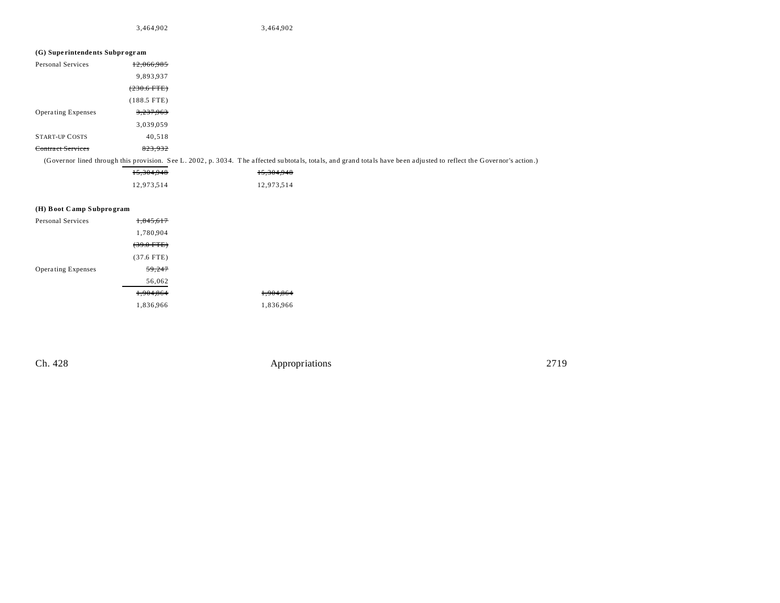3,464,902 3,464,902

### **(G) Supe rintendents Subpr ogr am**

| Personal Services         | 12,066,985    |
|---------------------------|---------------|
|                           | 9,893,937     |
|                           | $(230.6$ FTE) |
|                           | $(188.5$ FTE) |
| <b>Operating Expenses</b> | 3,237,963     |
|                           | 3,039,059     |
| <b>START-UP COSTS</b>     | 40,518        |
|                           |               |

(Governor lined through this provision. See L. 20 02 , p. 303 4. T he a ffected su btota ls, tota ls, and grand tota ls have been adjusted to reflect the Governor's action.)

| 15,304,948 | 15,304,948 |
|------------|------------|
| 12,973,514 | 12,973,514 |

### **(H) Boot C amp Subpro gram**

| <b>Personal Services</b>  | 1,845,617             |           |
|---------------------------|-----------------------|-----------|
|                           | 1,780,904             |           |
|                           | <del>(39.0 FTE)</del> |           |
|                           | $(37.6$ FTE)          |           |
| <b>Operating Expenses</b> | 59.247                |           |
|                           | 56,062                |           |
|                           | 1.904.864             | 1,904,864 |
|                           | 1,836,966             | 1,836,966 |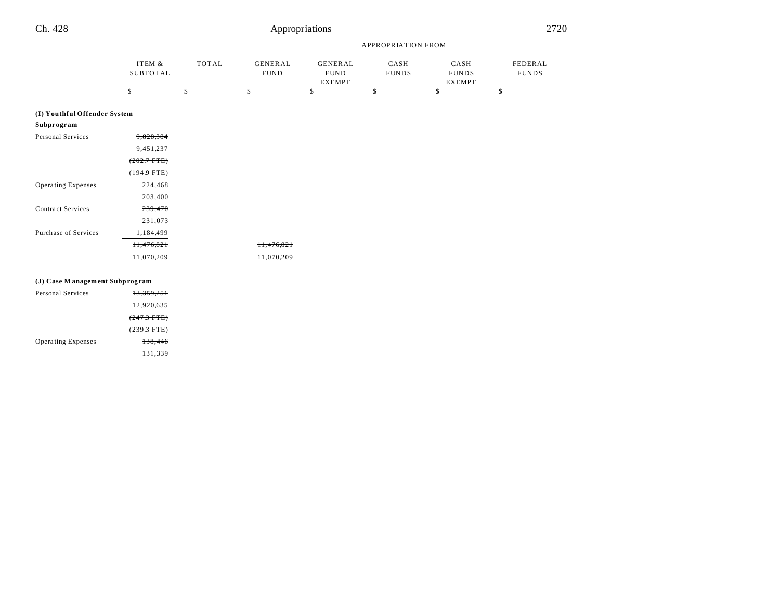# Ch. 428 Appropriations 2720

11,476,821 11,476,821 11,070,209 11,070,209

|                              |                             |    |                                                                          | <b>APPROPRIATION FROM</b> |                      |                                                                  |    |  |
|------------------------------|-----------------------------|----|--------------------------------------------------------------------------|---------------------------|----------------------|------------------------------------------------------------------|----|--|
|                              | ITEM &<br>TOTAL<br>SUBTOTAL |    | <b>GENERAL</b><br><b>GENERAL</b><br><b>FUND</b><br><b>FUND</b><br>EXEMPT |                           | CASH<br><b>FUNDS</b> | FEDERAL<br>CASH<br><b>FUNDS</b><br><b>FUNDS</b><br><b>EXEMPT</b> |    |  |
|                              | \$                          | \$ | \$                                                                       | \$                        | \$                   | \$                                                               | \$ |  |
| (I) Youthful Offender System |                             |    |                                                                          |                           |                      |                                                                  |    |  |
| Subprogram                   |                             |    |                                                                          |                           |                      |                                                                  |    |  |
| Personal Services            | 9,828,384                   |    |                                                                          |                           |                      |                                                                  |    |  |
|                              | 9,451,237                   |    |                                                                          |                           |                      |                                                                  |    |  |

| <b>Contract Services</b> | 239,470    |  |
|--------------------------|------------|--|
|                          | 231,073    |  |
| Purchase of Services     | 1,184,499  |  |
|                          | 11,476,821 |  |
|                          | 11,070,209 |  |
|                          |            |  |

(202.7 FTE) (194.9 FTE)

203,400

#### **(J) Case M anagem ent Subprog ram**

Operating Expenses 224,468

| Personal Services         | 13,359,251    |  |
|---------------------------|---------------|--|
|                           | 12,920,635    |  |
|                           | $(247.3$ FTE) |  |
|                           | $(239.3$ FTE) |  |
| <b>Operating Expenses</b> | 138,446       |  |
|                           | 131,339       |  |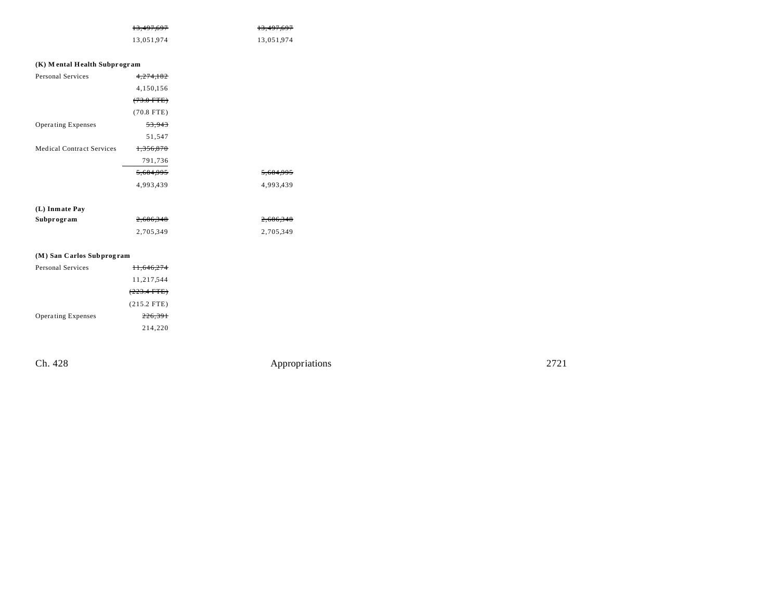| <del>13,497,697</del> | <del>13,497,697</del> |
|-----------------------|-----------------------|
| 13,051,974            | 13,051,974            |

| (K) Mental Health Subprogram     |                      |  |  |
|----------------------------------|----------------------|--|--|
| Personal Services                | 4,274,182            |  |  |
|                                  | 4,150,156            |  |  |
|                                  | $(73.0$ FTE $)$      |  |  |
|                                  | $(70.8$ FTE)         |  |  |
| <b>Operating Expenses</b>        | 53,943               |  |  |
|                                  | 51,547               |  |  |
| <b>Medical Contract Services</b> | 1.356.870            |  |  |
|                                  | 791,736              |  |  |
|                                  | <del>5.684.995</del> |  |  |
|                                  | 4,993,439            |  |  |
|                                  |                      |  |  |

| (L) Inmate Pay |           |           |
|----------------|-----------|-----------|
| Subprogram     | 2.686.348 | 2,686,348 |
|                | 2.705.349 | 2,705,349 |

## **(M) San Carlos Subprog ram**

| Personal Services         | <del>11.646.274</del> |
|---------------------------|-----------------------|
|                           | 11,217,544            |
|                           | $(223.4 \text{ FTE})$ |
|                           | $(215.2$ FTE)         |
| <b>Operating Expenses</b> | 226,391               |
|                           | 214.220               |

Ch. 428 Appropriations 2721

5,684,995 4,993,439 4,993,439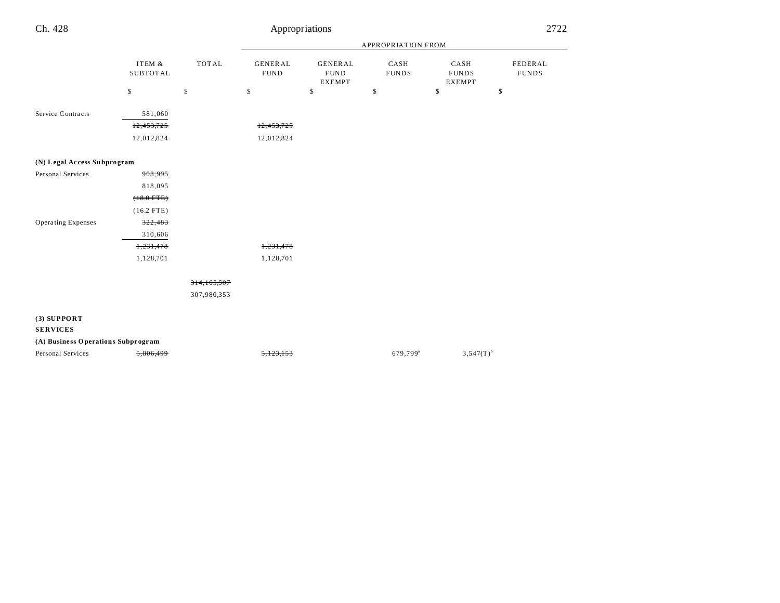| Ch. 428                            |                                     |              | Appropriations                |                                                |                      |                                       | 2722                    |
|------------------------------------|-------------------------------------|--------------|-------------------------------|------------------------------------------------|----------------------|---------------------------------------|-------------------------|
|                                    |                                     |              |                               |                                                | APPROPRIATION FROM   |                                       |                         |
|                                    | ITEM &<br><b>SUBTOTAL</b>           | <b>TOTAL</b> | <b>GENERAL</b><br><b>FUND</b> | <b>GENERAL</b><br><b>FUND</b><br><b>EXEMPT</b> | CASH<br><b>FUNDS</b> | CASH<br><b>FUNDS</b><br><b>EXEMPT</b> | FEDERAL<br><b>FUNDS</b> |
|                                    | \$                                  | \$           | \$                            | $\mathbb{S}$                                   | \$                   | \$                                    | \$                      |
| Service Contracts                  | 581,060<br>12,453,725<br>12,012,824 |              | 12,453,725<br>12,012,824      |                                                |                      |                                       |                         |
| (N) Legal Access Subprogram        |                                     |              |                               |                                                |                      |                                       |                         |
| Personal Services                  | 908,995                             |              |                               |                                                |                      |                                       |                         |
|                                    | 818,095                             |              |                               |                                                |                      |                                       |                         |
|                                    | $(+8.0$ FTE)                        |              |                               |                                                |                      |                                       |                         |
|                                    | $(16.2$ FTE)                        |              |                               |                                                |                      |                                       |                         |
| Operating Expenses                 | 322,483                             |              |                               |                                                |                      |                                       |                         |
|                                    | 310,606                             |              |                               |                                                |                      |                                       |                         |
|                                    | 1,231,478                           |              | 1,231,478                     |                                                |                      |                                       |                         |
|                                    | 1,128,701                           |              | 1,128,701                     |                                                |                      |                                       |                         |
|                                    |                                     | 314,165,507  |                               |                                                |                      |                                       |                         |
|                                    |                                     | 307,980,353  |                               |                                                |                      |                                       |                         |
| $(3)$ SUPPORT<br><b>SERVICES</b>   |                                     |              |                               |                                                |                      |                                       |                         |
| (A) Business Operations Subprogram |                                     |              |                               |                                                |                      |                                       |                         |
| Personal Services                  | 5,806,499                           |              |                               |                                                | 679,799 <sup>a</sup> | $3,547(T)^{b}$                        |                         |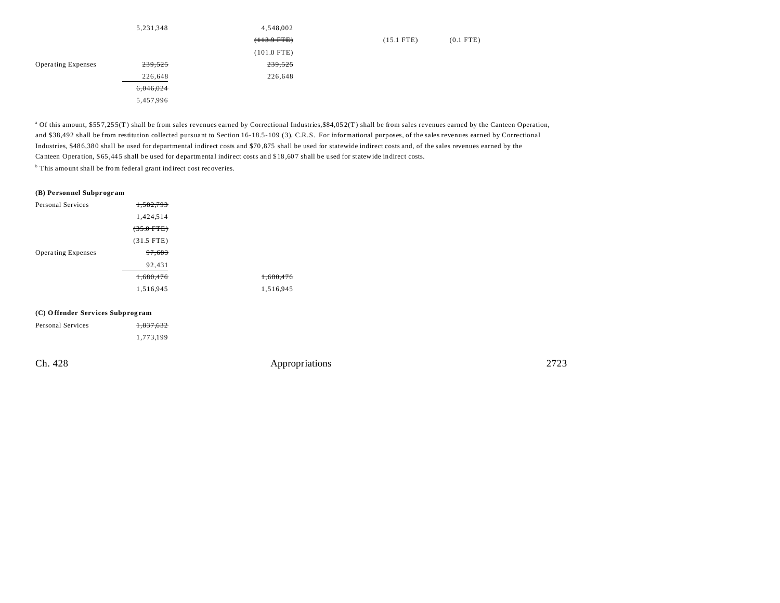|                           | 5,231,348 | 4,548,002     |              |             |
|---------------------------|-----------|---------------|--------------|-------------|
|                           |           | $(113.9$ FTE) | $(15.1$ FTE) | $(0.1$ FTE) |
|                           |           | $(101.0$ FTE) |              |             |
| <b>Operating Expenses</b> | 239,525   | 239,525       |              |             |
|                           | 226,648   | 226,648       |              |             |
|                           | 6,046,024 |               |              |             |
|                           | 5,457,996 |               |              |             |

<sup>a</sup> Of this amount, \$557,255(T) shall be from sales revenues earned by Correctional Industries,\$84,052(T) shall be from sales revenues earned by the Canteen Operation, and \$38,492 shall be from restitution collected pursuant to Section 16-18.5-109 (3), C.R.S. For informational purposes, of the sales revenues earned by Correctional Industries, \$48 6,38 0 shall be used for departmental indirect costs and \$70 ,875 shall be used for statewide indirect costs and, of the sales revenues earned by the Canteen Operation, \$65,445 shall be used for departmental indirect costs and \$18,607 shall be used for statewide indirect costs.

<sup>b</sup> This amount shall be from federal grant indirect cost recoveries.

#### **(B) Pe rsonnel Subpr ogr am**

| Personal Services         | 1,582,793    |                      |
|---------------------------|--------------|----------------------|
|                           | 1,424,514    |                      |
|                           | $(35.0$ FTE) |                      |
|                           | $(31.5$ FTE) |                      |
| <b>Operating Expenses</b> | 97,683       |                      |
|                           | 92,431       |                      |
|                           | 1,680,476    | <del>1,680,476</del> |
|                           | 1,516,945    | 1,516,945            |
|                           |              |                      |

#### **(C) O ffender Serv ices Subprog ram**

| Personal Services | 1,837,632 |
|-------------------|-----------|
|                   | 1,773,199 |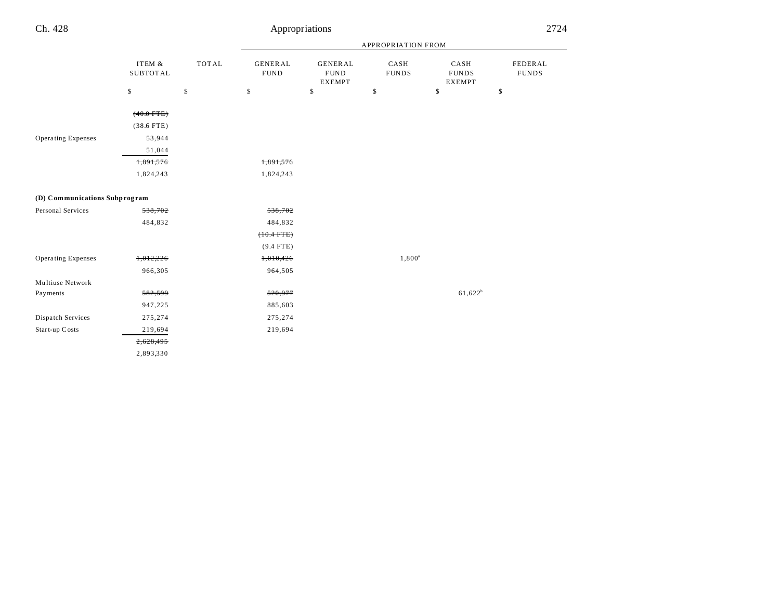|                               |                           |              | APPROPRIATION FROM            |                                                |                      |                                       |                         |
|-------------------------------|---------------------------|--------------|-------------------------------|------------------------------------------------|----------------------|---------------------------------------|-------------------------|
|                               | ITEM &<br><b>SUBTOTAL</b> | <b>TOTAL</b> | <b>GENERAL</b><br><b>FUND</b> | <b>GENERAL</b><br><b>FUND</b><br><b>EXEMPT</b> | CASH<br><b>FUNDS</b> | CASH<br><b>FUNDS</b><br><b>EXEMPT</b> | FEDERAL<br><b>FUNDS</b> |
|                               | \$                        | \$           | \$                            | \$                                             | \$                   | \$                                    | \$                      |
|                               | $(40.0$ FTE)              |              |                               |                                                |                      |                                       |                         |
|                               | $(38.6$ FTE)              |              |                               |                                                |                      |                                       |                         |
|                               |                           |              |                               |                                                |                      |                                       |                         |
| Operating Expenses            | 53,944                    |              |                               |                                                |                      |                                       |                         |
|                               | 51,044                    |              |                               |                                                |                      |                                       |                         |
|                               | 1,891,576                 |              | 1,891,576                     |                                                |                      |                                       |                         |
|                               | 1,824,243                 |              | 1,824,243                     |                                                |                      |                                       |                         |
| (D) Communications Subprogram |                           |              |                               |                                                |                      |                                       |                         |
|                               |                           |              |                               |                                                |                      |                                       |                         |
| Personal Services             | 538,702                   |              | 538,702                       |                                                |                      |                                       |                         |
|                               | 484,832                   |              | 484,832                       |                                                |                      |                                       |                         |
|                               |                           |              | $(+0.4$ FTE)                  |                                                |                      |                                       |                         |
|                               |                           |              | $(9.4$ FTE)                   |                                                |                      |                                       |                         |
| <b>Operating Expenses</b>     | 1,012,226                 |              | 1,010,426                     |                                                | $1,800^a$            |                                       |                         |
|                               | 966,305                   |              | 964,505                       |                                                |                      |                                       |                         |
| Multiuse Network              |                           |              |                               |                                                |                      |                                       |                         |
| Payments                      | 582,599                   |              | 520,977                       |                                                |                      | $61,622^b$                            |                         |
|                               | 947,225                   |              | 885,603                       |                                                |                      |                                       |                         |
| Dispatch Services             | 275,274                   |              | 275,274                       |                                                |                      |                                       |                         |
| Start-up Costs                | 219,694                   |              | 219,694                       |                                                |                      |                                       |                         |
|                               | 2,628,495                 |              |                               |                                                |                      |                                       |                         |
|                               | 2,893,330                 |              |                               |                                                |                      |                                       |                         |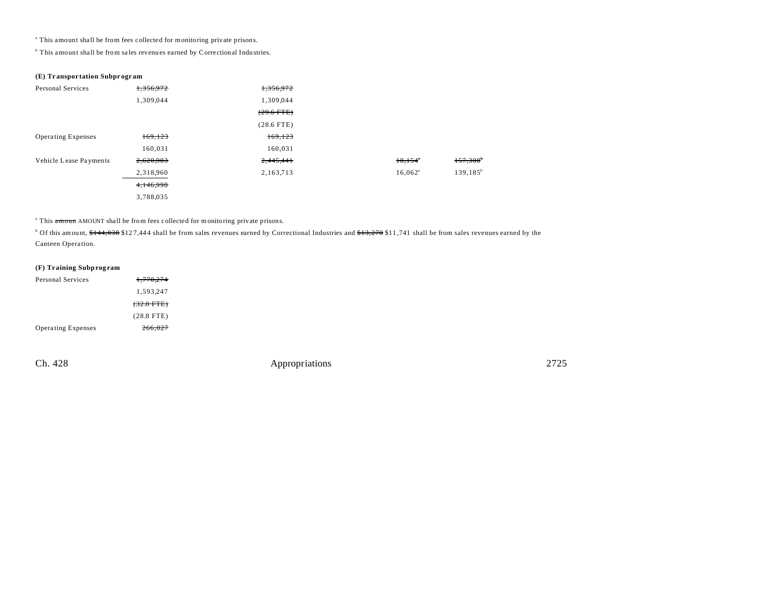<sup>a</sup> This amount shall be from fees collected for monitoring private prisons.

<sup>b</sup> This amount shall be from sales revenues earned by Correctional Industries.

#### **(E) Tr anspor tation Subpr ogr am**

| Personal Services         | 1,356,972 | 1,356,972    |                  |                        |
|---------------------------|-----------|--------------|------------------|------------------------|
|                           | 1,309,044 | 1,309,044    |                  |                        |
|                           |           | $(29.6$ FTE) |                  |                        |
|                           |           | $(28.6$ FTE) |                  |                        |
| <b>Operating Expenses</b> | 169,123   | 169,123      |                  |                        |
|                           | 160,031   | 160,031      |                  |                        |
| Vehicle Lease Payments    | 2,620,903 | 2,445,441    | 18,154           | $157,308$ <sup>*</sup> |
|                           | 2,318,960 | 2,163,713    | $16,062^{\circ}$ | $139, 185^b$           |
|                           | 4,146,998 |              |                  |                        |
|                           | 3,788,035 |              |                  |                        |

<sup>a</sup> This amoun AMOUNT shall be from fees collected for monitoring private prisons.

 $^{\circ}$  Of this amount,  $$144,038$   $$127,444$  shall be from sales revenues earned by Correctional Industries and  $$13,270$   $$11,741$  shall be from sales revenues earned by the Canteen Opera tion.

#### **(F) Tr aining Subprog ram**

| Personal Services         | 1.770.274            |
|---------------------------|----------------------|
|                           | 1.593.247            |
|                           | $(32.0 \text{ FFE})$ |
|                           | $(28.8$ FTE)         |
| <b>Operating Expenses</b> | 266,027              |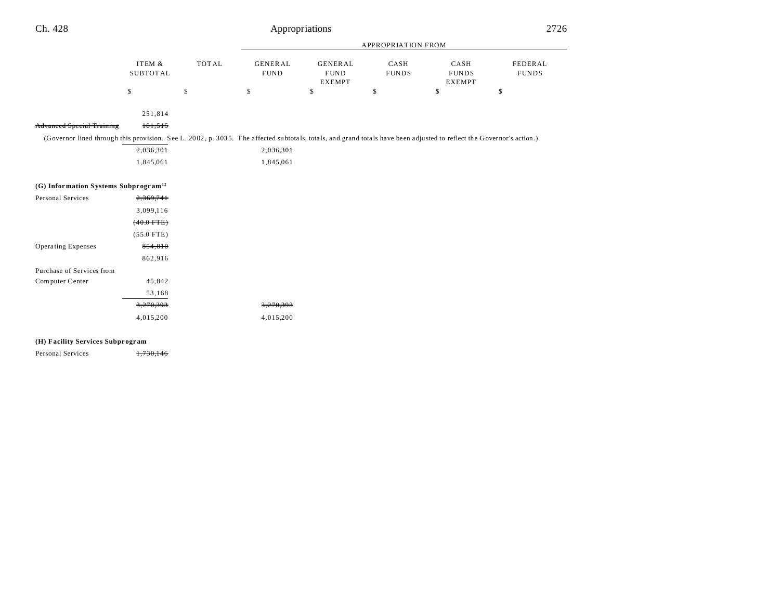| Ch. 428 | Appropriations | 2726<br>______ |
|---------|----------------|----------------|
|---------|----------------|----------------|

|                                                                                                                                                                      |                           |              | <b>APPROPRIATION FROM</b>     |                                                |                      |                                       |                         |
|----------------------------------------------------------------------------------------------------------------------------------------------------------------------|---------------------------|--------------|-------------------------------|------------------------------------------------|----------------------|---------------------------------------|-------------------------|
|                                                                                                                                                                      | ITEM &<br><b>SUBTOTAL</b> | <b>TOTAL</b> | <b>GENERAL</b><br><b>FUND</b> | <b>GENERAL</b><br><b>FUND</b><br><b>EXEMPT</b> | CASH<br><b>FUNDS</b> | CASH<br><b>FUNDS</b><br><b>EXEMPT</b> | FEDERAL<br><b>FUNDS</b> |
|                                                                                                                                                                      | \$                        | \$           | \$                            | \$                                             | \$                   | \$                                    | \$                      |
|                                                                                                                                                                      |                           |              |                               |                                                |                      |                                       |                         |
|                                                                                                                                                                      | 251,814                   |              |                               |                                                |                      |                                       |                         |
| <b>Advanced Special Training</b>                                                                                                                                     | 101,515                   |              |                               |                                                |                      |                                       |                         |
| (Governor lined through this provision. See L. 2002, p. 3035. The affected subtotals, totals, and grand totals have been adjusted to reflect the Governor's action.) |                           |              |                               |                                                |                      |                                       |                         |
|                                                                                                                                                                      | 2,036,301                 |              | 2,036,301                     |                                                |                      |                                       |                         |
|                                                                                                                                                                      | 1,845,061                 |              | 1,845,061                     |                                                |                      |                                       |                         |
|                                                                                                                                                                      |                           |              |                               |                                                |                      |                                       |                         |
| (G) Information Systems Subprogram <sup>12</sup>                                                                                                                     |                           |              |                               |                                                |                      |                                       |                         |
| Personal Services                                                                                                                                                    | 2,369,741                 |              |                               |                                                |                      |                                       |                         |
|                                                                                                                                                                      | 3,099,116                 |              |                               |                                                |                      |                                       |                         |
|                                                                                                                                                                      | $(40.0$ FTE)              |              |                               |                                                |                      |                                       |                         |
|                                                                                                                                                                      | $(55.0$ FTE)              |              |                               |                                                |                      |                                       |                         |
| Operating Expenses                                                                                                                                                   | 854,810                   |              |                               |                                                |                      |                                       |                         |
|                                                                                                                                                                      | 862,916                   |              |                               |                                                |                      |                                       |                         |
| Purchase of Services from                                                                                                                                            |                           |              |                               |                                                |                      |                                       |                         |
| Computer Center                                                                                                                                                      | 45,842                    |              |                               |                                                |                      |                                       |                         |
|                                                                                                                                                                      | 53,168                    |              |                               |                                                |                      |                                       |                         |
|                                                                                                                                                                      | 3,270,393                 |              | 3,270,393                     |                                                |                      |                                       |                         |
|                                                                                                                                                                      | 4,015,200                 |              | 4,015,200                     |                                                |                      |                                       |                         |

## **(H) Facility Service s Subpr ogr am**

Personal Services 1,730,146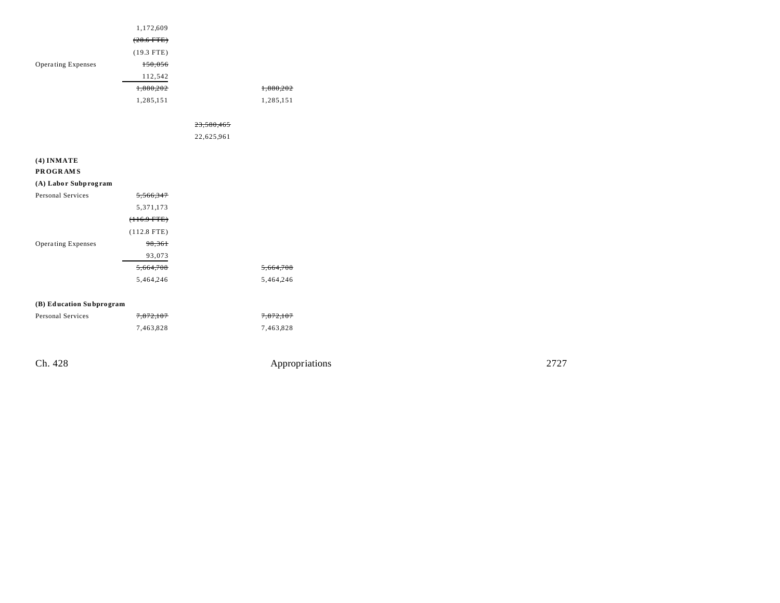| Ch. 428                         |               | Appropriations | 2727 |
|---------------------------------|---------------|----------------|------|
|                                 | 7,463,828     | 7,463,828      |      |
| Personal Services               | 7,872,107     | 7,872,107      |      |
| (B) Education Subprogram        |               |                |      |
|                                 | 5,464,246     | 5,464,246      |      |
|                                 | 5,664,708     | 5,664,708      |      |
|                                 | 93,073        |                |      |
| Operating Expenses              | 98,361        |                |      |
|                                 | $(112.8$ FTE) |                |      |
|                                 | $(+16.9$ FTE) |                |      |
|                                 | 5,371,173     |                |      |
| Personal Services               | 5,566,347     |                |      |
| (A) Labor Subprogram            |               |                |      |
| $(4)$ INMATE<br><b>PROGRAMS</b> |               |                |      |
|                                 |               |                |      |
|                                 |               | 22,625,961     |      |
|                                 |               | 23,580,465     |      |
|                                 | 1,285,151     | 1,285,151      |      |
|                                 | 1,880,202     | 1,880,202      |      |
|                                 | 112,542       |                |      |
| Operating Expenses              | 150,056       |                |      |
|                                 | $(19.3$ FTE)  |                |      |
|                                 | $(28.6$ FTE)  |                |      |
|                                 | 1,172,609     |                |      |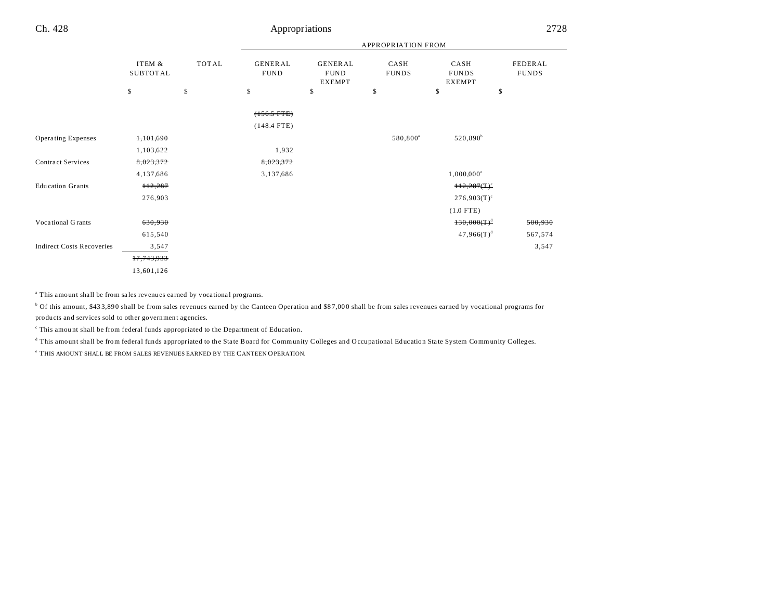|                                  |                           |              | <b>APPROPRIATION FROM</b>      |                                                |                      |                                       |                         |
|----------------------------------|---------------------------|--------------|--------------------------------|------------------------------------------------|----------------------|---------------------------------------|-------------------------|
|                                  | ITEM &<br><b>SUBTOTAL</b> | <b>TOTAL</b> | <b>GENERAL</b><br><b>FUND</b>  | <b>GENERAL</b><br><b>FUND</b><br><b>EXEMPT</b> | CASH<br><b>FUNDS</b> | CASH<br><b>FUNDS</b><br><b>EXEMPT</b> | FEDERAL<br><b>FUNDS</b> |
|                                  | \$                        | \$           | \$                             | \$                                             | \$                   | \$                                    | \$                      |
|                                  |                           |              | $(+56.5$ FTE)<br>$(148.4$ FTE) |                                                |                      |                                       |                         |
| <b>Operating Expenses</b>        | 1,101,690                 |              |                                |                                                | 580,800 <sup>a</sup> | 520,890 <sup>b</sup>                  |                         |
|                                  | 1,103,622                 |              | 1,932                          |                                                |                      |                                       |                         |
| <b>Contract Services</b>         | 8,023,372                 |              | 8,023,372                      |                                                |                      |                                       |                         |
|                                  | 4,137,686                 |              | 3,137,686                      |                                                |                      | $1,000,000^{\circ}$                   |                         |
| <b>Education Grants</b>          | <del>112,287</del>        |              |                                |                                                |                      | $H2,287(T)^c$                         |                         |
|                                  | 276,903                   |              |                                |                                                |                      | $276,903(T)^c$                        |                         |
|                                  |                           |              |                                |                                                |                      | $(1.0$ FTE)                           |                         |
| Vocational Grants                | 630,930                   |              |                                |                                                |                      | $130,000(T)^d$                        | 500,930                 |
|                                  | 615,540                   |              |                                |                                                |                      | $47,966(T)^d$                         | 567,574                 |
| <b>Indirect Costs Recoveries</b> | 3,547                     |              |                                |                                                |                      |                                       | 3,547                   |
|                                  | 17,743,933                |              |                                |                                                |                      |                                       |                         |
|                                  | 13,601,126                |              |                                |                                                |                      |                                       |                         |

<sup>a</sup> This amount shall be from sales revenues earned by vocational programs.

<sup>b</sup> Of this amount, \$433,890 shall be from sales revenues earned by the Canteen Operation and \$87,000 shall be from sales revenues earned by vocational programs for products and services sold to other government agencies.

This amount shall be from federal funds appropriated to the Department of Education.

d This amount shall be from federal funds appropriated to the Sta te Board for Community Colleges and Occupationa l Education Sta te System Community Colleges.

e THIS AMOUNT SHALL BE FROM SALES REVENUES EARNED BY THE CANTEEN OPERATION.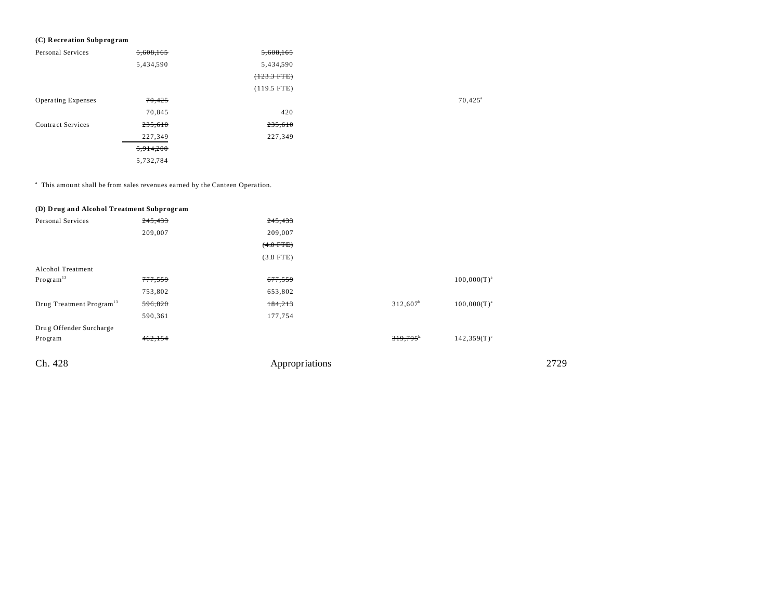## (C) Recreation Subprogram

| Personal Services         | 5,608,165 | 5,608,165     |                  |
|---------------------------|-----------|---------------|------------------|
|                           | 5,434,590 | 5,434,590     |                  |
|                           |           | $(+23.3$ FTE) |                  |
|                           |           | $(119.5$ FTE) |                  |
| <b>Operating Expenses</b> | 70,425    |               | $70,425^{\circ}$ |
|                           | 70,845    | 420           |                  |
| <b>Contract Services</b>  | 235,610   | 235,610       |                  |
|                           | 227,349   | 227,349       |                  |
|                           | 5,914,200 |               |                  |
|                           | 5,732,784 |               |                  |

<sup>a</sup> This amount shall be from sales revenues earned by the Canteen Operation.

| (D) Drug and Alcohol Treatment Subprogram |                    |                |                   |                  |  |
|-------------------------------------------|--------------------|----------------|-------------------|------------------|--|
| Personal Services                         | 245,433            | 245,433        |                   |                  |  |
|                                           | 209,007            | 209,007        |                   |                  |  |
|                                           |                    | $(4.0$ FTE)    |                   |                  |  |
|                                           |                    | $(3.8$ FTE)    |                   |                  |  |
| Alcohol Treatment                         |                    |                |                   |                  |  |
| Program <sup>13</sup>                     | <del>777,559</del> | 677,559        |                   | $100,000(T)^{a}$ |  |
|                                           | 753,802            | 653,802        |                   |                  |  |
| Drug Treatment Program <sup>13</sup>      | 596,820            | 184,213        | $312,607^b$       | $100,000(T)^{a}$ |  |
|                                           | 590,361            | 177,754        |                   |                  |  |
| Drug Offender Surcharge                   |                    |                |                   |                  |  |
| Program                                   | 462,154            |                | $319.795^{\circ}$ | $142,359(T)^c$   |  |
|                                           |                    |                |                   |                  |  |
| Ch. 428                                   |                    | Appropriations |                   |                  |  |
|                                           |                    |                |                   |                  |  |

2729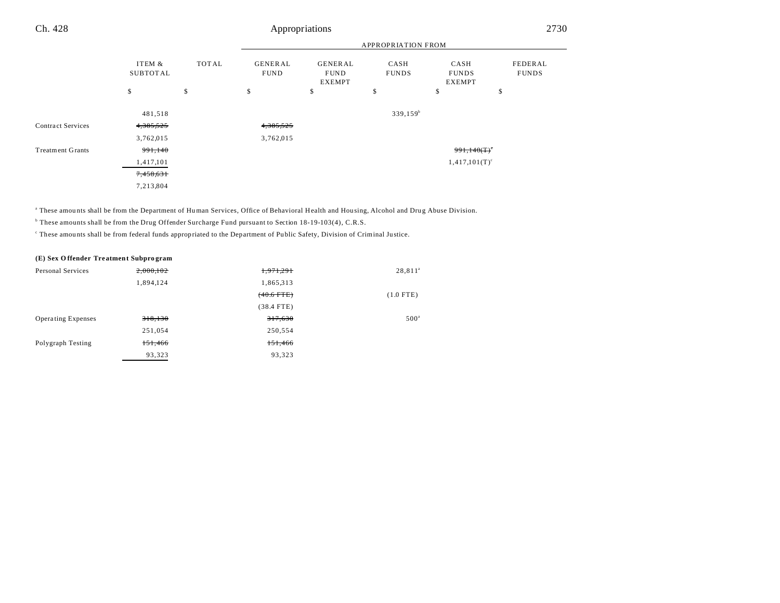#### APPROPRIATION FROM ITEM & SUBTOT AL TOT AL GENER AL FUND GENER AL FUND EXEMPT CASH FUNDS CASH FUNDS EXEMPT FEDERAL FUNDS  $\texttt{s} \hspace{1.5em} \texttt{s} \hspace{1.5em} \texttt{s} \hspace{1.5em} \texttt{s} \hspace{1.5em} \texttt{s} \hspace{1.5em} \texttt{s} \hspace{1.5em} \texttt{s} \hspace{1.5em} \texttt{s} \hspace{1.5em} \texttt{s} \hspace{1.5em} \texttt{s}$ Ch. 428 Appropriations 2730 481,518 339,159<sup>b</sup> Contract Services 4,385,525 4,385,525 3,762,015 3,762,015 Treatment Grants  $991,140$   $991,140$   $991,140$   $991,140$   $991,140$   $991,140$   $991,140$   $991,140$   $991,140$   $991,140$   $991,140$   $991,140$   $991,140$   $991,140$   $991,140$   $991,140$   $91,140$   $91,140$   $91,140$   $91,140$   $91,140$

 $1,417,101$  (T)<sup>c</sup>  $1,417,101$  (T)<sup>c</sup>

7,458,631 7,213,804

a These amou nts shall be from the Department of Human Services, Office of Behavioral Health and Hou sing, Alcohol and Drug Abuse Division.

b These amounts shall be from the Drug Offender Surcharge Fund pursuant to Section 18-19-103(4), C.R.S.

These amounts shall be from federal funds appropriated to the Department of Public Safety, Division of Criminal Justice.

#### **(E) Sex O ffender Tre atment Subpro gram**

| Personal Services         | 2,000,102 | 1,971,291    | 28,811 <sup>ª</sup> |
|---------------------------|-----------|--------------|---------------------|
|                           | 1,894,124 | 1,865,313    |                     |
|                           |           | $(40.6$ FTE) | $(1.0$ FTE)         |
|                           |           | $(38.4$ FTE) |                     |
| <b>Operating Expenses</b> | 318,130   | 317,630      | 500 <sup>a</sup>    |
|                           | 251,054   | 250,554      |                     |
| Polygraph Testing         | 151,466   | 151,466      |                     |
|                           | 93.323    | 93,323       |                     |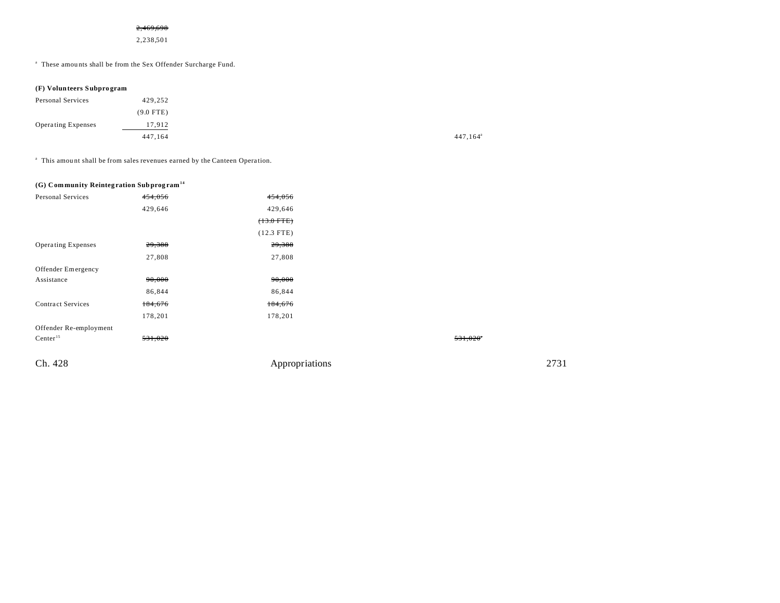## 2,469,698

2,238,501

a These amou nts shall be from the Sex Offender Surcharge Fund.

#### **(F) Volunteers Subpro gram**

| Personal Services         | 429,252     |                         |
|---------------------------|-------------|-------------------------|
|                           | $(9.0$ FTE) |                         |
| <b>Operating Expenses</b> | 17,912      |                         |
|                           | 447,164     | $447, 164$ <sup>a</sup> |

<sup>a</sup> This amount shall be from sales revenues earned by the Canteen Operation.

## **(G) Community Reinteg ration Subprog ram<sup>14</sup>**

| Personal Services         | 454,056 | 454,056        |         |      |
|---------------------------|---------|----------------|---------|------|
|                           | 429,646 | 429,646        |         |      |
|                           |         | $(13.0$ FTE)   |         |      |
|                           |         | $(12.3$ FTE)   |         |      |
| <b>Operating Expenses</b> | 29,388  | 29,388         |         |      |
|                           | 27,808  | 27,808         |         |      |
| Offender Emergency        |         |                |         |      |
| Assistance                | 90,000  | 90,000         |         |      |
|                           | 86,844  | 86,844         |         |      |
| <b>Contract Services</b>  | 184,676 | 184,676        |         |      |
|                           | 178,201 | 178,201        |         |      |
| Offender Re-employment    |         |                |         |      |
| Center $15$               | 531,020 |                | 531,020 |      |
| Ch. 428                   |         | Appropriations |         | 2731 |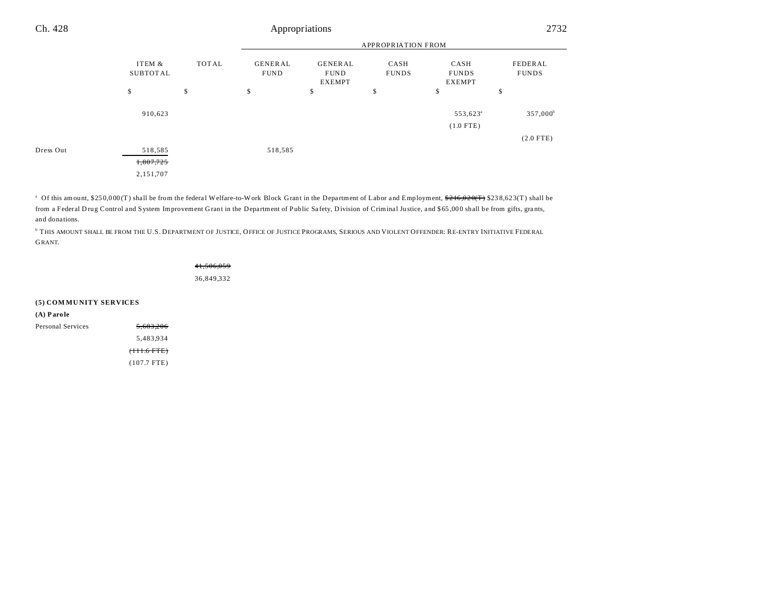|           |                                     |              | <b>APPROPRIATION FROM</b>     |                                         |                      |                                     |                         |
|-----------|-------------------------------------|--------------|-------------------------------|-----------------------------------------|----------------------|-------------------------------------|-------------------------|
|           | ITEM &<br>SUBTOTAL                  | <b>TOTAL</b> | <b>GENERAL</b><br><b>FUND</b> | GENERAL<br><b>FUND</b><br><b>EXEMPT</b> | CASH<br><b>FUNDS</b> | CASH<br><b>FUNDS</b><br>EXEMPT      | FEDERAL<br><b>FUNDS</b> |
|           | \$                                  | \$           | \$                            | \$                                      | \$                   | \$                                  | \$                      |
|           | 910,623                             |              |                               |                                         |                      | 553,623 <sup>a</sup><br>$(1.0$ FTE) | $357,000^{\rm b}$       |
|           |                                     |              |                               |                                         |                      |                                     | $(2.0$ FTE)             |
| Dress Out | 518,585<br>1,807,725<br>2, 151, 707 |              | 518,585                       |                                         |                      |                                     |                         |

<sup>a</sup> Of this amount, \$250,000(T) shall be from the federal Welfare-to-Work Block Grant in the Department of Labor and Employment, <del>\$216,020(T)</del> \$238,623(T) shall be from a Federal Drug Control and System Improvement Grant in the Department of Public Safety, Division of Criminal Justice, and \$65,000 shall be from gifts, grants, and donations.

b THIS AMOUNT SHALL BE FROM THE U.S. DEPARTMENT OF JUSTICE, OFFICE OF JUSTICE PROGRAMS, SERIOUS AND VIOLENT OFFENDER: RE-ENTRY INITIATIVE FEDERAL GRANT.

# 41,506,059

36,849,332

| (5) COMMUNITY SERVICES |                        |
|------------------------|------------------------|
| $(A)$ Parole           |                        |
| Personal Services      | 5.683.206              |
|                        | 5.483.934              |
|                        | <del>(111.6 FTE)</del> |
|                        | $(107.7$ FTE)          |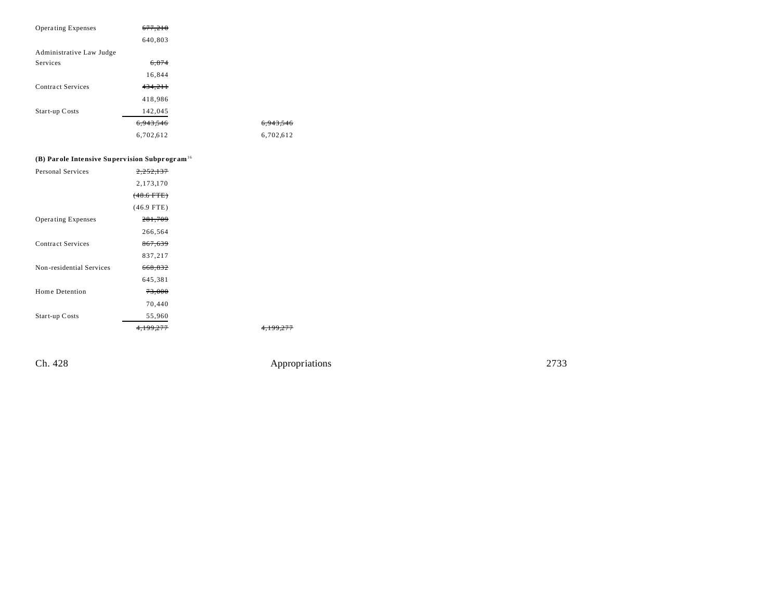| <b>Operating Expenses</b> | 677.210   |           |
|---------------------------|-----------|-----------|
|                           | 640,803   |           |
| Administrative Law Judge  |           |           |
| Services                  | 6,874     |           |
|                           | 16,844    |           |
| Contract Services         | 434,211   |           |
|                           | 418,986   |           |
| Start-up Costs            | 142,045   |           |
|                           | 6.943.546 | 6.943.546 |
|                           | 6,702,612 | 6,702,612 |
|                           |           |           |

# **(B) Par ole Intensive Superv ision Subpr ogr am**<sup>16</sup>

| Personal Services         | <del>2,252,137</del> |  |
|---------------------------|----------------------|--|
|                           | 2,173,170            |  |
|                           | $(48.6$ FTE)         |  |
|                           | $(46.9$ FTE)         |  |
| <b>Operating Expenses</b> | 281,709              |  |
|                           | 266,564              |  |
| Contract Services         | 867,639              |  |
|                           | 837,217              |  |
| Non-residential Services  | 668,832              |  |
|                           | 645,381              |  |
| Home Detention            | 73,000               |  |
|                           | 70,440               |  |
| Start-up Costs            | 55,960               |  |
|                           |                      |  |

Ch. 428 Appropriations 2733

4,199,277 4,199,277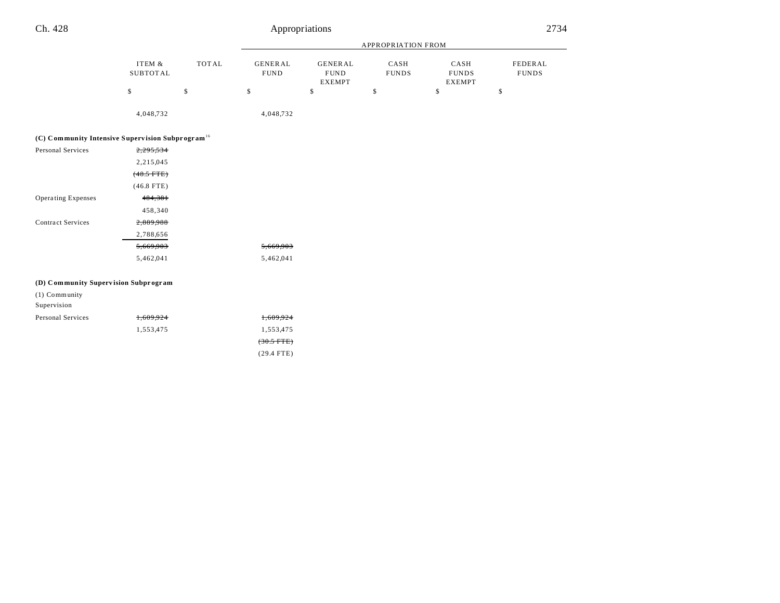|                                                              |                           |              | APPROPRIATION FROM            |                                                |                      |                                       |    |  |
|--------------------------------------------------------------|---------------------------|--------------|-------------------------------|------------------------------------------------|----------------------|---------------------------------------|----|--|
|                                                              | ITEM &<br><b>SUBTOTAL</b> | <b>TOTAL</b> | <b>GENERAL</b><br><b>FUND</b> | <b>GENERAL</b><br><b>FUND</b><br><b>EXEMPT</b> | CASH<br><b>FUNDS</b> | CASH<br><b>FUNDS</b><br><b>EXEMPT</b> |    |  |
|                                                              | \$                        | \$           | \$                            | \$                                             | \$                   | \$                                    | \$ |  |
|                                                              | 4,048,732                 |              | 4,048,732                     |                                                |                      |                                       |    |  |
| (C) Community Intensive Supervision Subprogram <sup>16</sup> |                           |              |                               |                                                |                      |                                       |    |  |
| Personal Services                                            | 2,295,534                 |              |                               |                                                |                      |                                       |    |  |
|                                                              | 2,215,045                 |              |                               |                                                |                      |                                       |    |  |
|                                                              | $(48.5$ FTE)              |              |                               |                                                |                      |                                       |    |  |
|                                                              | $(46.8$ FTE)              |              |                               |                                                |                      |                                       |    |  |
| Operating Expenses                                           | 484,381                   |              |                               |                                                |                      |                                       |    |  |
|                                                              | 458,340                   |              |                               |                                                |                      |                                       |    |  |
| <b>Contract Services</b>                                     | 2,889,988                 |              |                               |                                                |                      |                                       |    |  |
|                                                              | 2,788,656                 |              |                               |                                                |                      |                                       |    |  |
|                                                              | 5,669,903                 |              | 5,669,903                     |                                                |                      |                                       |    |  |
|                                                              | 5,462,041                 |              | 5,462,041                     |                                                |                      |                                       |    |  |
| (D) Community Supervision Subprogram                         |                           |              |                               |                                                |                      |                                       |    |  |
| (1) Community                                                |                           |              |                               |                                                |                      |                                       |    |  |
| Supervision                                                  |                           |              |                               |                                                |                      |                                       |    |  |
| Personal Services                                            | 1,609,924                 |              | 1,609,924                     |                                                |                      |                                       |    |  |
|                                                              | 1,553,475                 |              | 1,553,475                     |                                                |                      |                                       |    |  |
|                                                              |                           |              | $(30.5 \text{ FTE})$          |                                                |                      |                                       |    |  |

(29.4 FTE)

FEDERAL FUNDS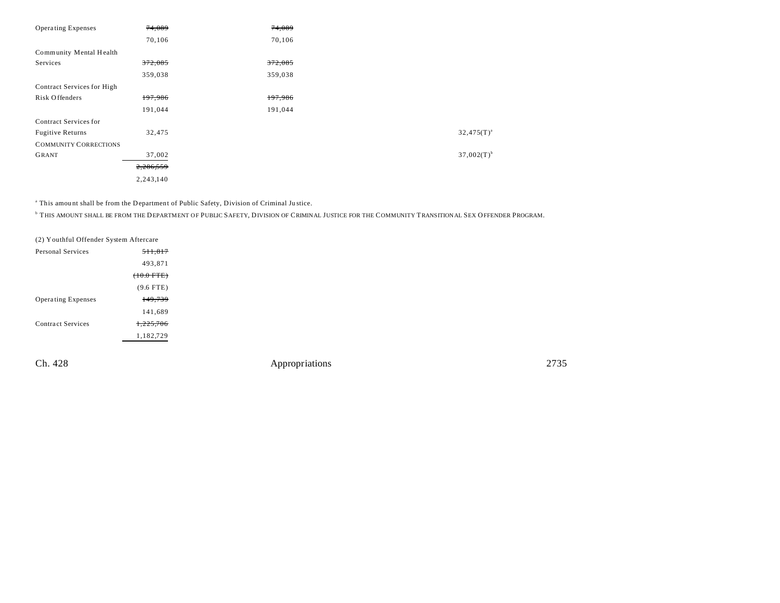| <b>Operating Expenses</b>    | 74,089    | 74,089  |                          |
|------------------------------|-----------|---------|--------------------------|
|                              | 70,106    | 70,106  |                          |
| Community Mental Health      |           |         |                          |
| Services                     | 372,085   | 372,085 |                          |
|                              | 359,038   | 359,038 |                          |
| Contract Services for High   |           |         |                          |
| Risk Offenders               | 197,986   | 197,986 |                          |
|                              | 191,044   | 191,044 |                          |
| Contract Services for        |           |         |                          |
| <b>Fugitive Returns</b>      | 32,475    |         | $32,475(T)^{a}$          |
| <b>COMMUNITY CORRECTIONS</b> |           |         |                          |
| <b>GRANT</b>                 | 37,002    |         | $37,002(T)$ <sup>b</sup> |
|                              | 2,286,559 |         |                          |
|                              | 2,243,140 |         |                          |

<sup>a</sup> This amount shall be from the Department of Public Safety, Division of Criminal Justice.

b THIS AMOUNT SHALL BE FROM THE DEPARTMENT OF PUBLIC SAFETY, DIVISION OF CRIMINAL JUSTICE FOR THE COMMUNITY TRANSITIONAL SEX OFFENDER PROGRAM.

| (2) Youthful Offender System Aftercare |                      |  |  |  |
|----------------------------------------|----------------------|--|--|--|
| Personal Services                      | <del>511.817</del>   |  |  |  |
|                                        | 493,871              |  |  |  |
|                                        | $(10.0 \text{ FTE})$ |  |  |  |
|                                        | $(9.6$ FTE)          |  |  |  |
| <b>Operating Expenses</b>              | 149,739              |  |  |  |
|                                        | 141,689              |  |  |  |
| Contract Services                      | 1,225,706            |  |  |  |
|                                        | 1,182,729            |  |  |  |
|                                        |                      |  |  |  |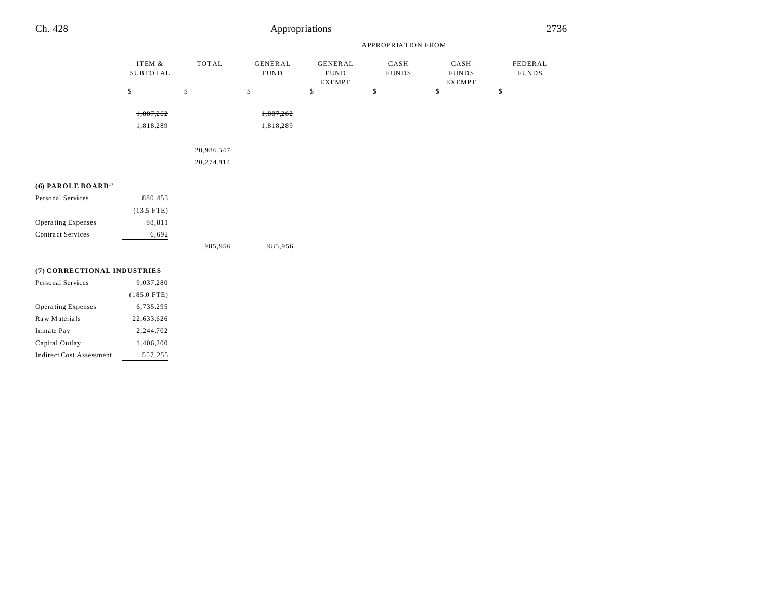|                                |                    |              | <b>APPROPRIATION FROM</b>     |                                                |                      |                                       |                         |  |
|--------------------------------|--------------------|--------------|-------------------------------|------------------------------------------------|----------------------|---------------------------------------|-------------------------|--|
|                                | ITEM &<br>SUBTOTAL | <b>TOTAL</b> | <b>GENERAL</b><br><b>FUND</b> | <b>GENERAL</b><br><b>FUND</b><br><b>EXEMPT</b> | CASH<br><b>FUNDS</b> | CASH<br><b>FUNDS</b><br><b>EXEMPT</b> | FEDERAL<br><b>FUNDS</b> |  |
|                                | \$                 | $\$$         | \$                            | \$                                             | \$                   | \$                                    | \$                      |  |
|                                | 1,887,262          |              | 1,887,262                     |                                                |                      |                                       |                         |  |
|                                | 1,818,289          |              | 1,818,289                     |                                                |                      |                                       |                         |  |
|                                |                    | 20,986,547   |                               |                                                |                      |                                       |                         |  |
|                                |                    | 20,274,814   |                               |                                                |                      |                                       |                         |  |
| (6) PAROLE BOARD <sup>17</sup> |                    |              |                               |                                                |                      |                                       |                         |  |
| Personal Services              | 880,453            |              |                               |                                                |                      |                                       |                         |  |
|                                | $(13.5$ FTE)       |              |                               |                                                |                      |                                       |                         |  |
| Operating Expenses             | 98,811             |              |                               |                                                |                      |                                       |                         |  |
| <b>Contract Services</b>       | 6,692              |              |                               |                                                |                      |                                       |                         |  |
|                                |                    | 985,956      | 985,956                       |                                                |                      |                                       |                         |  |

## **(7) CORRECTIONAL INDUSTRIES**

| Personal Services               | 9,037,280     |  |  |
|---------------------------------|---------------|--|--|
|                                 | $(185.0$ FTE) |  |  |
| <b>Operating Expenses</b>       | 6,735,295     |  |  |
| Raw Materials                   | 22,633,626    |  |  |
| Inmate Pay                      | 2.244.702     |  |  |
| Capital Outlay                  | 1,406,200     |  |  |
| <b>Indirect Cost Assessment</b> | 557,255       |  |  |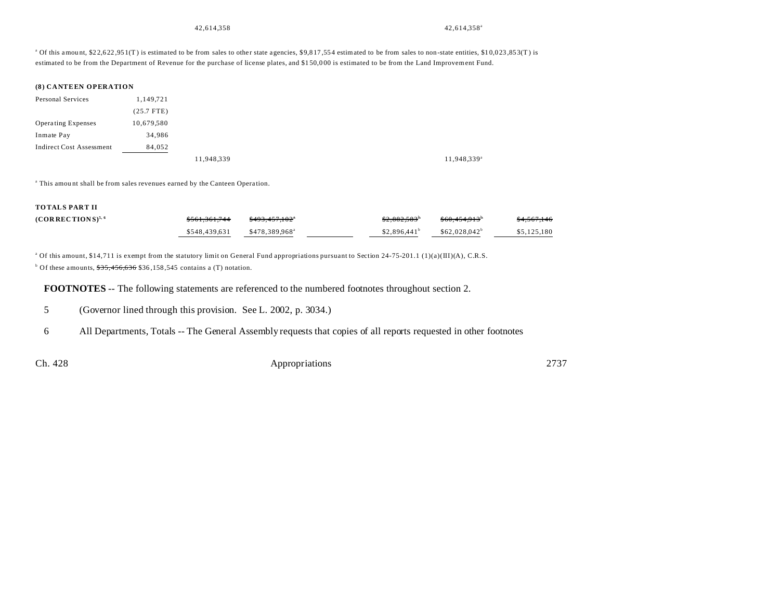42,614,358 42,614,358 42,614,358 42,614,358 42,614,358 42,614,358 42,614,358 42,614,358 42,614,358 42,614,358 42,614,358 42,614,358 42,614,358 42,614,358 42,614,358 42,614,358 42,614,358 42,614,358 42,614,358 42,614,358 42

<sup>a</sup> Of this amount, \$22,622,951(T) is estimated to be from sales to other state agencies, \$9,817,554 estimated to be from sales to non-state entities, \$10,023,853(T) is estimated to be from the Department of Revenue for the purchase of license plates, and \$1 50,0 00 is estimated to be from the Land Improvement Fund.

#### **(8) CANTEEN OPERATION**

| Personal Services         | 1,149,721    |            |            |
|---------------------------|--------------|------------|------------|
|                           | $(25.7$ FTE) |            |            |
| <b>Operating Expenses</b> | 10,679,580   |            |            |
| Inmate Pay                | 34,986       |            |            |
| Indirect Cost Assessment  | 84,052       |            |            |
|                           |              | 11,948,339 | 11,948,339 |

<sup>a</sup> This amount shall be from sales revenues earned by the Canteen Operation.

#### **TOTALS PART II**

| $(CORRECTIONS)^{5,6}$ | <del>\$561.361.744</del> | <del>\$493.457.102</del> * | \$2.882.583"             | \$60.454.913 <sup>b</sup> | <del>\$4.567.146</del> |
|-----------------------|--------------------------|----------------------------|--------------------------|---------------------------|------------------------|
|                       | \$548.439.631            | \$478.389.968 <sup>a</sup> | \$2.896.441 <sup>b</sup> | $$62.028.042^b$           | \$5,125,180            |

<sup>a</sup> Of this amount, \$14,711 is exempt from the statutory limit on General Fund appropriations pursuant to Section 24-75-201.1 (1)(a)(III)(A), C.R.S.

<sup>b</sup> Of these amounts,  $$35,456,636$  \$36,158,545 contains a (T) notation.

**FOOTNOTES** -- The following statements are referenced to the numbered footnotes throughout section 2.

5 (Governor lined through this provision. See L. 2002, p. 3034.)

6 All Departments, Totals -- The General Assembly requests that copies of all reports requested in other footnotes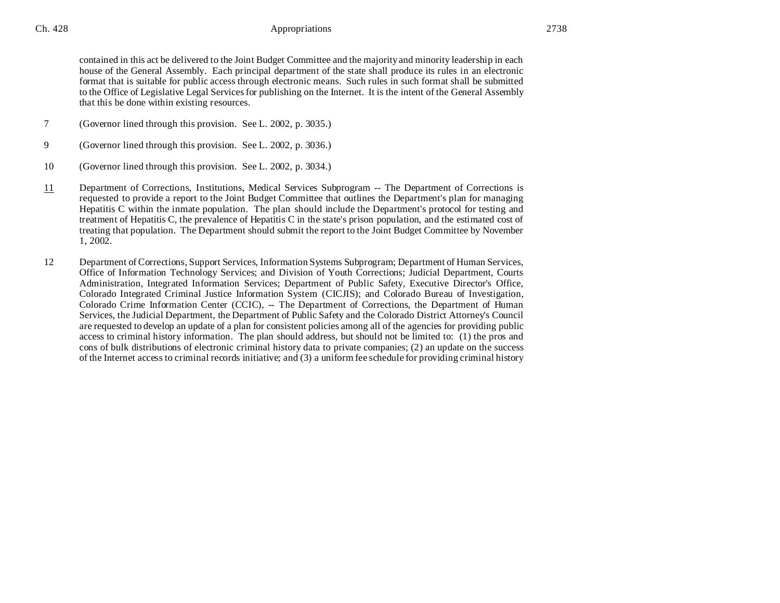contained in this act be delivered to the Joint Budget Committee and the majority and minority leadership in each house of the General Assembly. Each principal department of the state shall produce its rules in an electronic format that is suitable for public access through electronic means. Such rules in such format shall be submitted to the Office of Legislative Legal Services for publishing on the Internet. It is the intent of the General Assembly that this be done within existing resources.

- 7 (Governor lined through this provision. See L. 2002, p. 3035.)
- 9 (Governor lined through this provision. See L. 2002, p. 3036.)
- 10 (Governor lined through this provision. See L. 2002, p. 3034.)
- 11 Department of Corrections, Institutions, Medical Services Subprogram -- The Department of Corrections is requested to provide a report to the Joint Budget Committee that outlines the Department's plan for managing Hepatitis C within the inmate population. The plan should include the Department's protocol for testing and treatment of Hepatitis C, the prevalence of Hepatitis C in the state's prison population, and the estimated cost of treating that population. The Department should submit the report to the Joint Budget Committee by November 1, 2002.
- 12 Department of Corrections, Support Services, Information Systems Subprogram; Department of Human Services, Office of Information Technology Services; and Division of Youth Corrections; Judicial Department, Courts Administration, Integrated Information Services; Department of Public Safety, Executive Director's Office, Colorado Integrated Criminal Justice Information System (CICJIS); and Colorado Bureau of Investigation, Colorado Crime Information Center (CCIC), -- The Department of Corrections, the Department of Human Services, the Judicial Department, the Department of Public Safety and the Colorado District Attorney's Council are requested to develop an update of a plan for consistent policies among all of the agencies for providing public access to criminal history information. The plan should address, but should not be limited to: (1) the pros and cons of bulk distributions of electronic criminal history data to private companies; (2) an update on the success of the Internet access to criminal records initiative; and (3) a uniform fee schedule for providing criminal history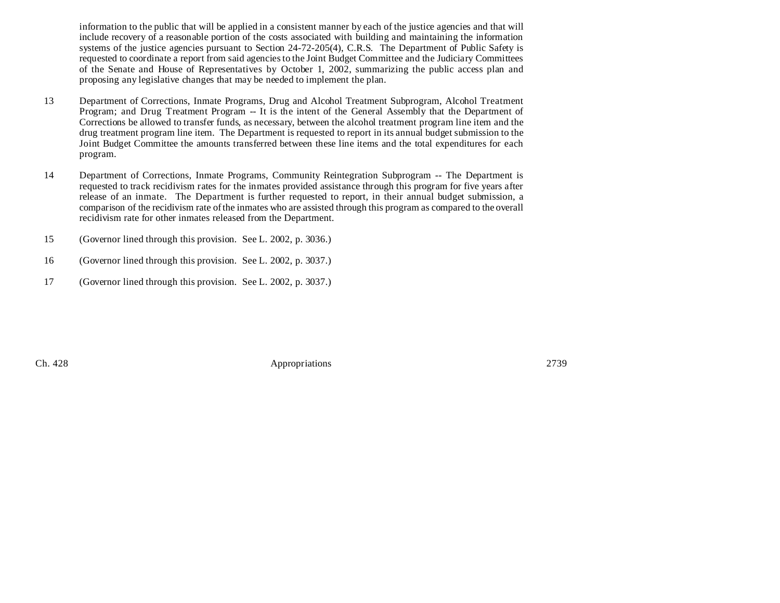information to the public that will be applied in a consistent manner by each of the justice agencies and that will include recovery of a reasonable portion of the costs associated with building and maintaining the information systems of the justice agencies pursuant to Section 24-72-205(4), C.R.S. The Department of Public Safety is requested to coordinate a report from said agencies to the Joint Budget Committee and the Judiciary Committees of the Senate and House of Representatives by October 1, 2002, summarizing the public access plan and proposing any legislative changes that may be needed to implement the plan.

- 13 Department of Corrections, Inmate Programs, Drug and Alcohol Treatment Subprogram, Alcohol Treatment Program; and Drug Treatment Program -- It is the intent of the General Assembly that the Department of Corrections be allowed to transfer funds, as necessary, between the alcohol treatment program line item and the drug treatment program line item. The Department is requested to report in its annual budget submission to the Joint Budget Committee the amounts transferred between these line items and the total expenditures for each program.
- 14 Department of Corrections, Inmate Programs, Community Reintegration Subprogram -- The Department is requested to track recidivism rates for the inmates provided assistance through this program for five years after release of an inmate. The Department is further requested to report, in their annual budget submission, a comparison of the recidivism rate of the inmates who are assisted through this program as compared to the overall recidivism rate for other inmates released from the Department.
- 15 (Governor lined through this provision. See L. 2002, p. 3036.)
- 16 (Governor lined through this provision. See L. 2002, p. 3037.)
- 17 (Governor lined through this provision. See L. 2002, p. 3037.)